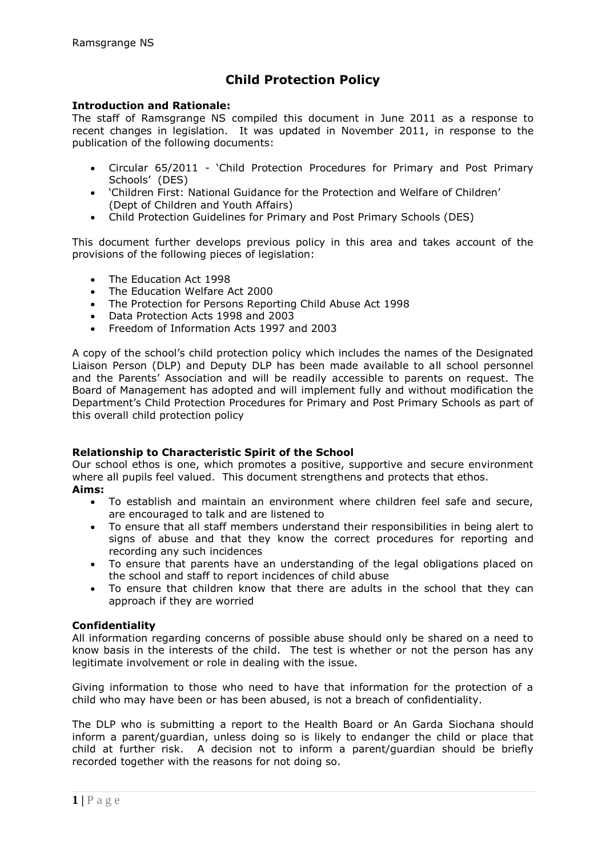## **Child Protection Policy**

### **Introduction and Rationale:**

The staff of Ramsgrange NS compiled this document in June 2011 as a response to recent changes in legislation. It was updated in November 2011, in response to the publication of the following documents:

- Circular 65/2011 'Child Protection Procedures for Primary and Post Primary Schools' (DES)
- 'Children First: National Guidance for the Protection and Welfare of Children' (Dept of Children and Youth Affairs)
- Child Protection Guidelines for Primary and Post Primary Schools (DES)

This document further develops previous policy in this area and takes account of the provisions of the following pieces of legislation:

- The Education Act 1998
- The Education Welfare Act 2000
- The Protection for Persons Reporting Child Abuse Act 1998
- Data Protection Acts 1998 and 2003
- Freedom of Information Acts 1997 and 2003

A copy of the school's child protection policy which includes the names of the Designated Liaison Person (DLP) and Deputy DLP has been made available to all school personnel and the Parents' Association and will be readily accessible to parents on request. The Board of Management has adopted and will implement fully and without modification the Department's Child Protection Procedures for Primary and Post Primary Schools as part of this overall child protection policy

#### **Relationship to Characteristic Spirit of the School**

Our school ethos is one, which promotes a positive, supportive and secure environment where all pupils feel valued. This document strengthens and protects that ethos. **Aims:**

- To establish and maintain an environment where children feel safe and secure, are encouraged to talk and are listened to
- To ensure that all staff members understand their responsibilities in being alert to signs of abuse and that they know the correct procedures for reporting and recording any such incidences
- To ensure that parents have an understanding of the legal obligations placed on the school and staff to report incidences of child abuse
- To ensure that children know that there are adults in the school that they can approach if they are worried

## **Confidentiality**

All information regarding concerns of possible abuse should only be shared on a need to know basis in the interests of the child. The test is whether or not the person has any legitimate involvement or role in dealing with the issue.

Giving information to those who need to have that information for the protection of a child who may have been or has been abused, is not a breach of confidentiality.

The DLP who is submitting a report to the Health Board or An Garda Siochana should inform a parent/guardian, unless doing so is likely to endanger the child or place that child at further risk. A decision not to inform a parent/guardian should be briefly recorded together with the reasons for not doing so.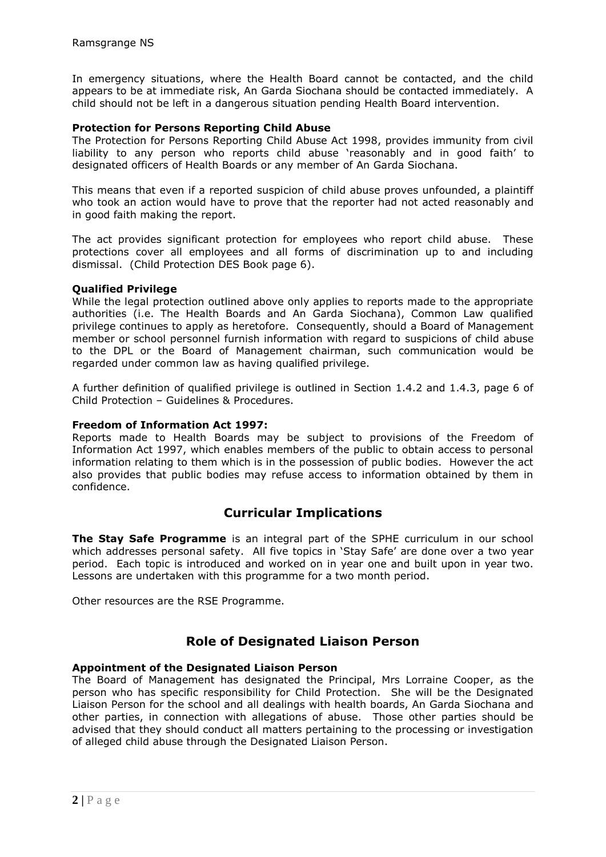In emergency situations, where the Health Board cannot be contacted, and the child appears to be at immediate risk, An Garda Siochana should be contacted immediately. A child should not be left in a dangerous situation pending Health Board intervention.

### **Protection for Persons Reporting Child Abuse**

The Protection for Persons Reporting Child Abuse Act 1998, provides immunity from civil liability to any person who reports child abuse 'reasonably and in good faith' to designated officers of Health Boards or any member of An Garda Siochana.

This means that even if a reported suspicion of child abuse proves unfounded, a plaintiff who took an action would have to prove that the reporter had not acted reasonably and in good faith making the report.

The act provides significant protection for employees who report child abuse. These protections cover all employees and all forms of discrimination up to and including dismissal. (Child Protection DES Book page 6).

### **Qualified Privilege**

While the legal protection outlined above only applies to reports made to the appropriate authorities (i.e. The Health Boards and An Garda Siochana), Common Law qualified privilege continues to apply as heretofore. Consequently, should a Board of Management member or school personnel furnish information with regard to suspicions of child abuse to the DPL or the Board of Management chairman, such communication would be regarded under common law as having qualified privilege.

A further definition of qualified privilege is outlined in Section 1.4.2 and 1.4.3, page 6 of Child Protection – Guidelines & Procedures.

### **Freedom of Information Act 1997:**

Reports made to Health Boards may be subject to provisions of the Freedom of Information Act 1997, which enables members of the public to obtain access to personal information relating to them which is in the possession of public bodies. However the act also provides that public bodies may refuse access to information obtained by them in confidence.

## **Curricular Implications**

**The Stay Safe Programme** is an integral part of the SPHE curriculum in our school which addresses personal safety. All five topics in 'Stay Safe' are done over a two year period. Each topic is introduced and worked on in year one and built upon in year two. Lessons are undertaken with this programme for a two month period.

Other resources are the RSE Programme.

## **Role of Designated Liaison Person**

## **Appointment of the Designated Liaison Person**

The Board of Management has designated the Principal, Mrs Lorraine Cooper, as the person who has specific responsibility for Child Protection. She will be the Designated Liaison Person for the school and all dealings with health boards, An Garda Siochana and other parties, in connection with allegations of abuse. Those other parties should be advised that they should conduct all matters pertaining to the processing or investigation of alleged child abuse through the Designated Liaison Person.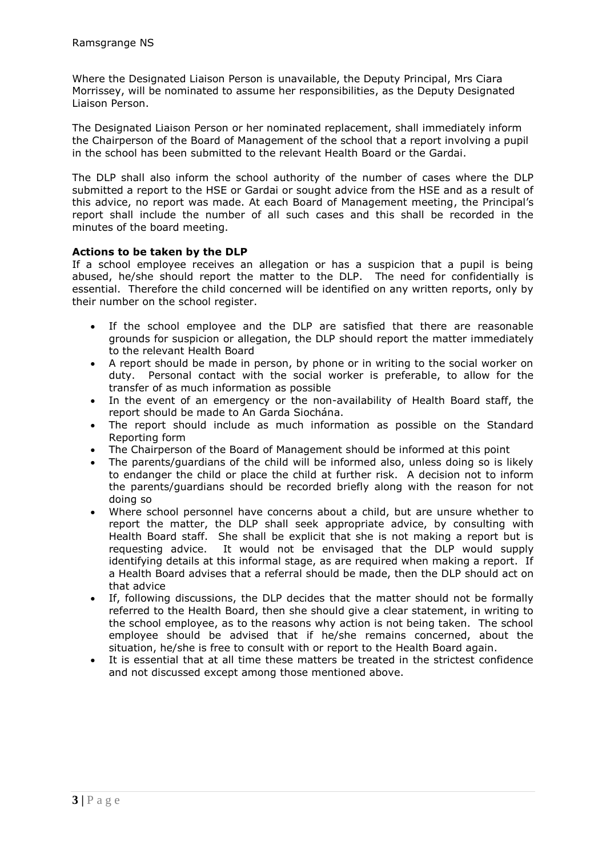Where the Designated Liaison Person is unavailable, the Deputy Principal, Mrs Ciara Morrissey, will be nominated to assume her responsibilities, as the Deputy Designated Liaison Person.

The Designated Liaison Person or her nominated replacement, shall immediately inform the Chairperson of the Board of Management of the school that a report involving a pupil in the school has been submitted to the relevant Health Board or the Gardai.

The DLP shall also inform the school authority of the number of cases where the DLP submitted a report to the HSE or Gardai or sought advice from the HSE and as a result of this advice, no report was made. At each Board of Management meeting, the Principal's report shall include the number of all such cases and this shall be recorded in the minutes of the board meeting.

### **Actions to be taken by the DLP**

If a school employee receives an allegation or has a suspicion that a pupil is being abused, he/she should report the matter to the DLP. The need for confidentially is essential. Therefore the child concerned will be identified on any written reports, only by their number on the school register.

- If the school employee and the DLP are satisfied that there are reasonable grounds for suspicion or allegation, the DLP should report the matter immediately to the relevant Health Board
- A report should be made in person, by phone or in writing to the social worker on duty. Personal contact with the social worker is preferable, to allow for the transfer of as much information as possible
- In the event of an emergency or the non-availability of Health Board staff, the report should be made to An Garda Siochána.
- The report should include as much information as possible on the Standard Reporting form
- The Chairperson of the Board of Management should be informed at this point The parents/quardians of the child will be informed also, unless doing so is li
- The parents/guardians of the child will be informed also, unless doing so is likely to endanger the child or place the child at further risk. A decision not to inform the parents/guardians should be recorded briefly along with the reason for not doing so
- Where school personnel have concerns about a child, but are unsure whether to report the matter, the DLP shall seek appropriate advice, by consulting with Health Board staff. She shall be explicit that she is not making a report but is requesting advice. It would not be envisaged that the DLP would supply identifying details at this informal stage, as are required when making a report. If a Health Board advises that a referral should be made, then the DLP should act on that advice
- If, following discussions, the DLP decides that the matter should not be formally referred to the Health Board, then she should give a clear statement, in writing to the school employee, as to the reasons why action is not being taken. The school employee should be advised that if he/she remains concerned, about the situation, he/she is free to consult with or report to the Health Board again.
- It is essential that at all time these matters be treated in the strictest confidence and not discussed except among those mentioned above.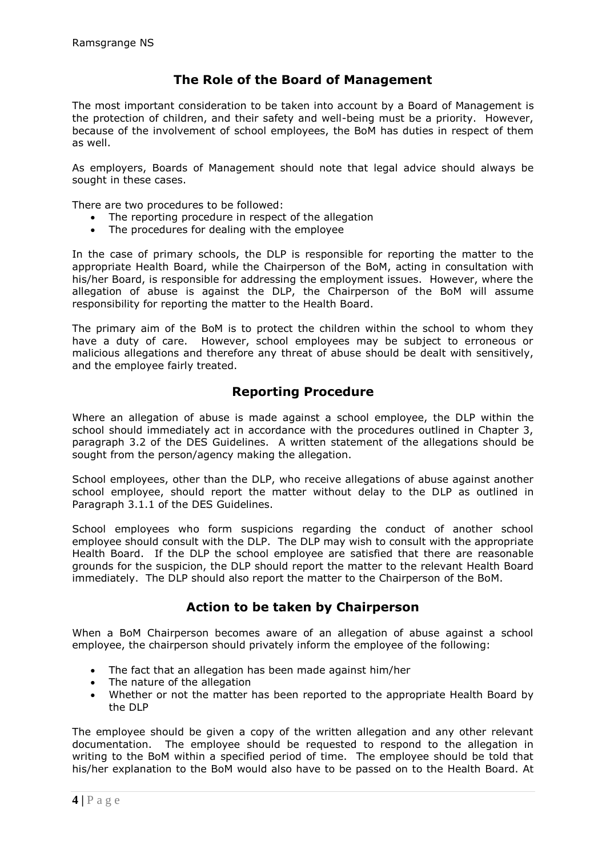## **The Role of the Board of Management**

The most important consideration to be taken into account by a Board of Management is the protection of children, and their safety and well-being must be a priority. However, because of the involvement of school employees, the BoM has duties in respect of them as well.

As employers, Boards of Management should note that legal advice should always be sought in these cases.

There are two procedures to be followed:

- The reporting procedure in respect of the allegation
- The procedures for dealing with the employee

In the case of primary schools, the DLP is responsible for reporting the matter to the appropriate Health Board, while the Chairperson of the BoM, acting in consultation with his/her Board, is responsible for addressing the employment issues. However, where the allegation of abuse is against the DLP, the Chairperson of the BoM will assume responsibility for reporting the matter to the Health Board.

The primary aim of the BoM is to protect the children within the school to whom they have a duty of care. However, school employees may be subject to erroneous or malicious allegations and therefore any threat of abuse should be dealt with sensitively, and the employee fairly treated.

## **Reporting Procedure**

Where an allegation of abuse is made against a school employee, the DLP within the school should immediately act in accordance with the procedures outlined in Chapter 3, paragraph 3.2 of the DES Guidelines. A written statement of the allegations should be sought from the person/agency making the allegation.

School employees, other than the DLP, who receive allegations of abuse against another school employee, should report the matter without delay to the DLP as outlined in Paragraph 3.1.1 of the DES Guidelines.

School employees who form suspicions regarding the conduct of another school employee should consult with the DLP. The DLP may wish to consult with the appropriate Health Board. If the DLP the school employee are satisfied that there are reasonable grounds for the suspicion, the DLP should report the matter to the relevant Health Board immediately. The DLP should also report the matter to the Chairperson of the BoM.

## **Action to be taken by Chairperson**

When a BoM Chairperson becomes aware of an allegation of abuse against a school employee, the chairperson should privately inform the employee of the following:

- The fact that an allegation has been made against him/her
- The nature of the allegation
- Whether or not the matter has been reported to the appropriate Health Board by the DLP

The employee should be given a copy of the written allegation and any other relevant documentation. The employee should be requested to respond to the allegation in writing to the BoM within a specified period of time. The employee should be told that his/her explanation to the BoM would also have to be passed on to the Health Board. At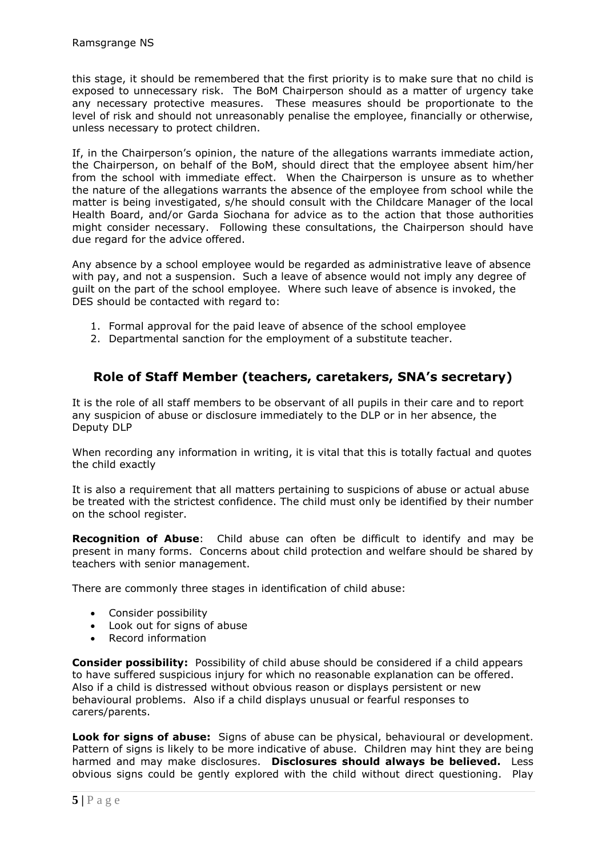this stage, it should be remembered that the first priority is to make sure that no child is exposed to unnecessary risk. The BoM Chairperson should as a matter of urgency take any necessary protective measures. These measures should be proportionate to the level of risk and should not unreasonably penalise the employee, financially or otherwise, unless necessary to protect children.

If, in the Chairperson's opinion, the nature of the allegations warrants immediate action, the Chairperson, on behalf of the BoM, should direct that the employee absent him/her from the school with immediate effect. When the Chairperson is unsure as to whether the nature of the allegations warrants the absence of the employee from school while the matter is being investigated, s/he should consult with the Childcare Manager of the local Health Board, and/or Garda Siochana for advice as to the action that those authorities might consider necessary. Following these consultations, the Chairperson should have due regard for the advice offered.

Any absence by a school employee would be regarded as administrative leave of absence with pay, and not a suspension. Such a leave of absence would not imply any degree of guilt on the part of the school employee. Where such leave of absence is invoked, the DES should be contacted with regard to:

- 1. Formal approval for the paid leave of absence of the school employee
- 2. Departmental sanction for the employment of a substitute teacher.

## **Role of Staff Member (teachers, caretakers, SNA's secretary)**

It is the role of all staff members to be observant of all pupils in their care and to report any suspicion of abuse or disclosure immediately to the DLP or in her absence, the Deputy DLP

When recording any information in writing, it is vital that this is totally factual and quotes the child exactly

It is also a requirement that all matters pertaining to suspicions of abuse or actual abuse be treated with the strictest confidence. The child must only be identified by their number on the school register.

**Recognition of Abuse**: Child abuse can often be difficult to identify and may be present in many forms. Concerns about child protection and welfare should be shared by teachers with senior management.

There are commonly three stages in identification of child abuse:

- Consider possibility
- Look out for signs of abuse
- Record information

**Consider possibility:** Possibility of child abuse should be considered if a child appears to have suffered suspicious injury for which no reasonable explanation can be offered. Also if a child is distressed without obvious reason or displays persistent or new behavioural problems. Also if a child displays unusual or fearful responses to carers/parents.

**Look for signs of abuse:** Signs of abuse can be physical, behavioural or development. Pattern of signs is likely to be more indicative of abuse. Children may hint they are being harmed and may make disclosures. **Disclosures should always be believed.** Less obvious signs could be gently explored with the child without direct questioning. Play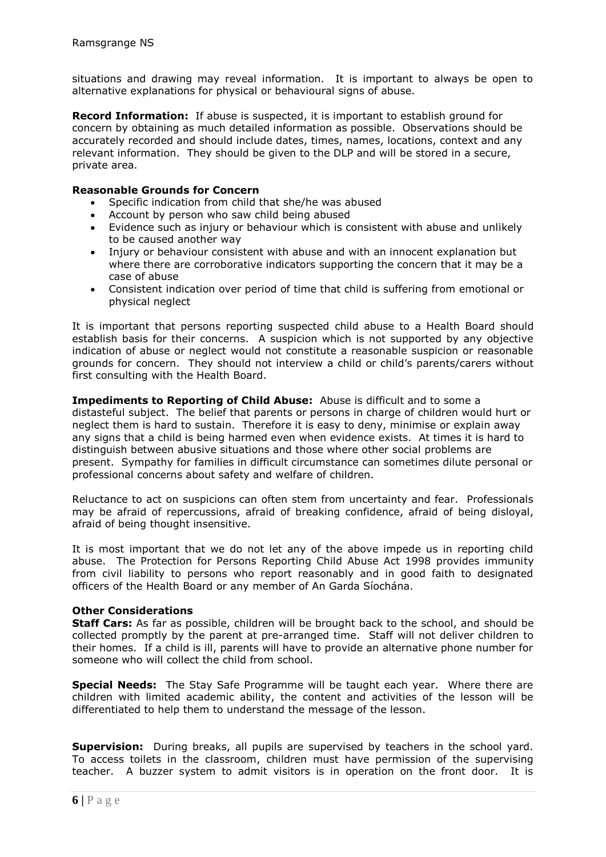situations and drawing may reveal information. It is important to always be open to alternative explanations for physical or behavioural signs of abuse.

**Record Information:** If abuse is suspected, it is important to establish ground for concern by obtaining as much detailed information as possible. Observations should be accurately recorded and should include dates, times, names, locations, context and any relevant information. They should be given to the DLP and will be stored in a secure, private area.

### **Reasonable Grounds for Concern**

- Specific indication from child that she/he was abused
- Account by person who saw child being abused
- Evidence such as injury or behaviour which is consistent with abuse and unlikely to be caused another way
- Injury or behaviour consistent with abuse and with an innocent explanation but where there are corroborative indicators supporting the concern that it may be a case of abuse
- Consistent indication over period of time that child is suffering from emotional or physical neglect

It is important that persons reporting suspected child abuse to a Health Board should establish basis for their concerns. A suspicion which is not supported by any objective indication of abuse or neglect would not constitute a reasonable suspicion or reasonable grounds for concern. They should not interview a child or child's parents/carers without first consulting with the Health Board.

**Impediments to Reporting of Child Abuse:** Abuse is difficult and to some a distasteful subject. The belief that parents or persons in charge of children would hurt or neglect them is hard to sustain. Therefore it is easy to deny, minimise or explain away any signs that a child is being harmed even when evidence exists. At times it is hard to distinguish between abusive situations and those where other social problems are present. Sympathy for families in difficult circumstance can sometimes dilute personal or professional concerns about safety and welfare of children.

Reluctance to act on suspicions can often stem from uncertainty and fear. Professionals may be afraid of repercussions, afraid of breaking confidence, afraid of being disloyal, afraid of being thought insensitive.

It is most important that we do not let any of the above impede us in reporting child abuse. The Protection for Persons Reporting Child Abuse Act 1998 provides immunity from civil liability to persons who report reasonably and in good faith to designated officers of the Health Board or any member of An Garda Síochána.

## **Other Considerations**

**Staff Cars:** As far as possible, children will be brought back to the school, and should be collected promptly by the parent at pre-arranged time. Staff will not deliver children to their homes. If a child is ill, parents will have to provide an alternative phone number for someone who will collect the child from school.

**Special Needs:** The Stay Safe Programme will be taught each year. Where there are children with limited academic ability, the content and activities of the lesson will be differentiated to help them to understand the message of the lesson.

**Supervision:** During breaks, all pupils are supervised by teachers in the school yard. To access toilets in the classroom, children must have permission of the supervising teacher. A buzzer system to admit visitors is in operation on the front door. It is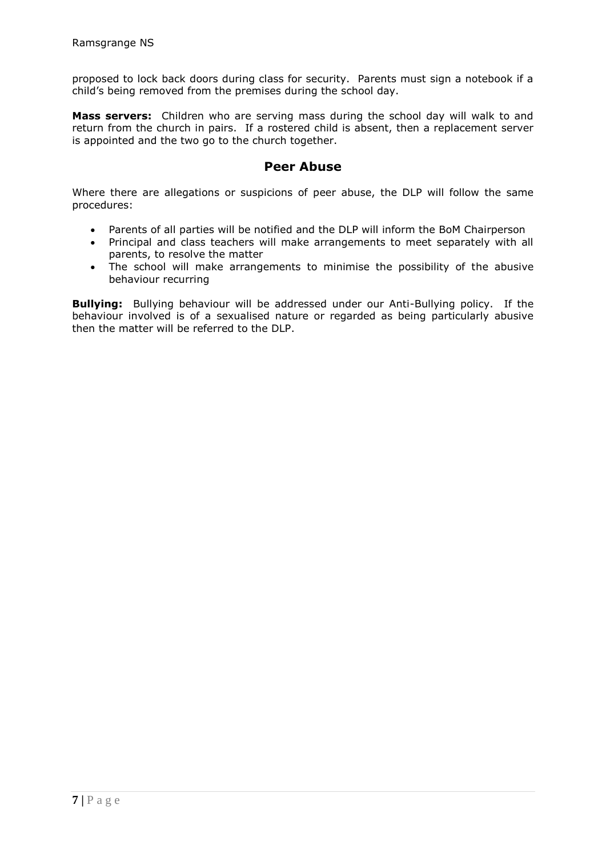proposed to lock back doors during class for security. Parents must sign a notebook if a child's being removed from the premises during the school day.

**Mass servers:** Children who are serving mass during the school day will walk to and return from the church in pairs. If a rostered child is absent, then a replacement server is appointed and the two go to the church together.

## **Peer Abuse**

Where there are allegations or suspicions of peer abuse, the DLP will follow the same procedures:

- Parents of all parties will be notified and the DLP will inform the BoM Chairperson
- Principal and class teachers will make arrangements to meet separately with all parents, to resolve the matter
- The school will make arrangements to minimise the possibility of the abusive behaviour recurring

**Bullying:** Bullying behaviour will be addressed under our Anti-Bullying policy. If the behaviour involved is of a sexualised nature or regarded as being particularly abusive then the matter will be referred to the DLP.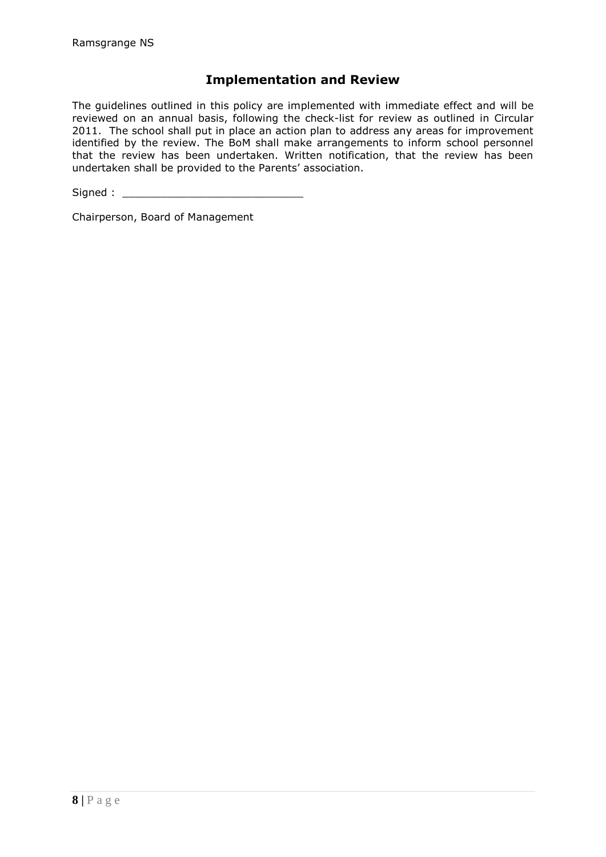## **Implementation and Review**

The guidelines outlined in this policy are implemented with immediate effect and will be reviewed on an annual basis, following the check-list for review as outlined in Circular 2011. The school shall put in place an action plan to address any areas for improvement identified by the review. The BoM shall make arrangements to inform school personnel that the review has been undertaken. Written notification, that the review has been undertaken shall be provided to the Parents' association.

 $Signed:$ 

Chairperson, Board of Management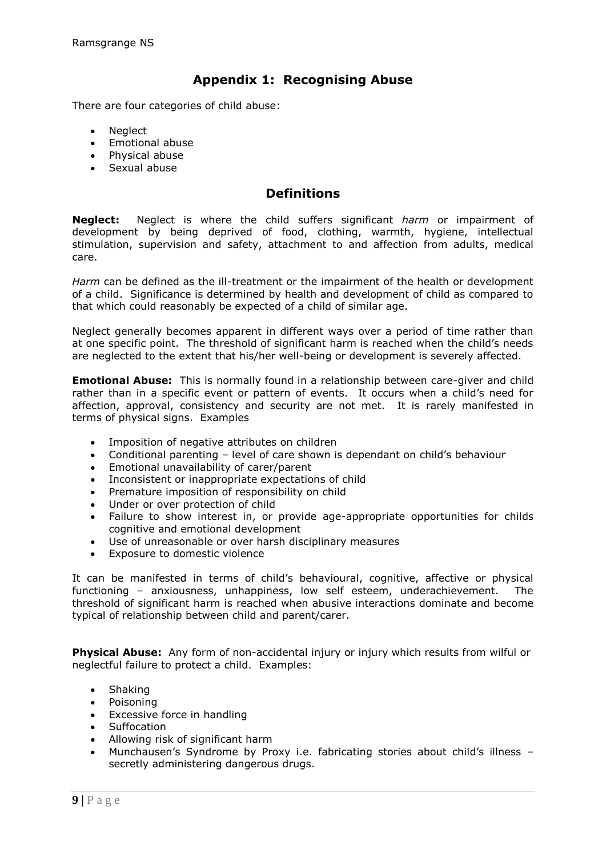## **Appendix 1: Recognising Abuse**

There are four categories of child abuse:

- Neglect
- Emotional abuse
- Physical abuse
- Sexual abuse

## **Definitions**

**Neglect:** Neglect is where the child suffers significant *harm* or impairment of development by being deprived of food, clothing, warmth, hygiene, intellectual stimulation, supervision and safety, attachment to and affection from adults, medical care.

*Harm* can be defined as the ill-treatment or the impairment of the health or development of a child. Significance is determined by health and development of child as compared to that which could reasonably be expected of a child of similar age.

Neglect generally becomes apparent in different ways over a period of time rather than at one specific point. The threshold of significant harm is reached when the child's needs are neglected to the extent that his/her well-being or development is severely affected.

**Emotional Abuse:** This is normally found in a relationship between care-giver and child rather than in a specific event or pattern of events. It occurs when a child's need for affection, approval, consistency and security are not met. It is rarely manifested in terms of physical signs. Examples

- Imposition of negative attributes on children
- Conditional parenting level of care shown is dependant on child's behaviour
- Emotional unavailability of carer/parent
- Inconsistent or inappropriate expectations of child
- Premature imposition of responsibility on child
- Under or over protection of child
- Failure to show interest in, or provide age-appropriate opportunities for childs cognitive and emotional development
- Use of unreasonable or over harsh disciplinary measures
- Exposure to domestic violence

It can be manifested in terms of child's behavioural, cognitive, affective or physical functioning – anxiousness, unhappiness, low self esteem, underachievement. The threshold of significant harm is reached when abusive interactions dominate and become typical of relationship between child and parent/carer.

**Physical Abuse:** Any form of non-accidental injury or injury which results from wilful or neglectful failure to protect a child. Examples:

- Shaking
- Poisoning
- Excessive force in handling
- Suffocation
- Allowing risk of significant harm
- Munchausen's Syndrome by Proxy i.e. fabricating stories about child's illness secretly administering dangerous drugs.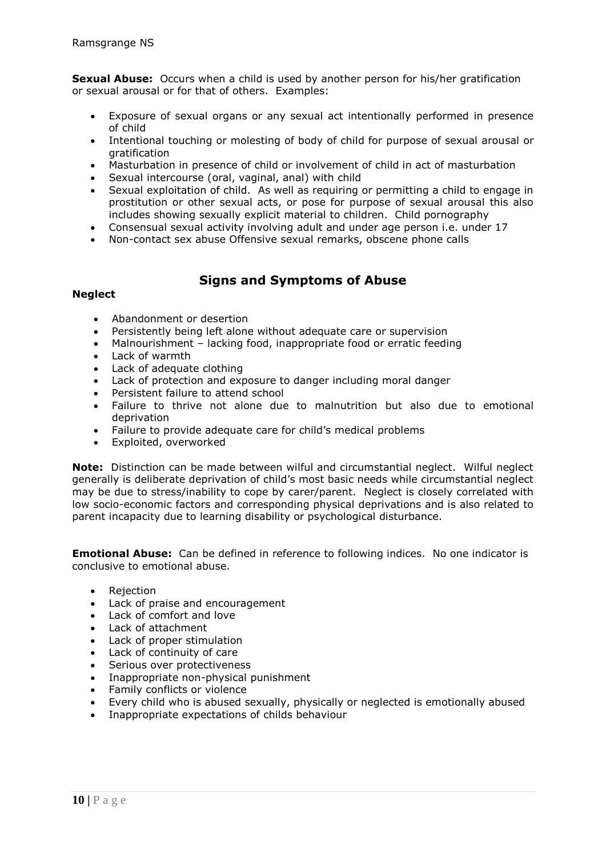**Sexual Abuse:** Occurs when a child is used by another person for his/her gratification or sexual arousal or for that of others. Examples:

- Exposure of sexual organs or any sexual act intentionally performed in presence of child
- Intentional touching or molesting of body of child for purpose of sexual arousal or gratification
- Masturbation in presence of child or involvement of child in act of masturbation
- Sexual intercourse (oral, vaginal, anal) with child
- Sexual exploitation of child. As well as requiring or permitting a child to engage in prostitution or other sexual acts, or pose for purpose of sexual arousal this also includes showing sexually explicit material to children. Child pornography
- Consensual sexual activity involving adult and under age person i.e. under 17
- Non-contact sex abuse Offensive sexual remarks, obscene phone calls

## **Signs and Symptoms of Abuse**

### **Neglect**

- Abandonment or desertion
- Persistently being left alone without adequate care or supervision
- Malnourishment lacking food, inappropriate food or erratic feeding
- Lack of warmth
- Lack of adequate clothing
- Lack of protection and exposure to danger including moral danger
- Persistent failure to attend school
- Failure to thrive not alone due to malnutrition but also due to emotional deprivation
- Failure to provide adequate care for child's medical problems
- Exploited, overworked

**Note:** Distinction can be made between wilful and circumstantial neglect. Wilful neglect generally is deliberate deprivation of child's most basic needs while circumstantial neglect may be due to stress/inability to cope by carer/parent. Neglect is closely correlated with low socio-economic factors and corresponding physical deprivations and is also related to parent incapacity due to learning disability or psychological disturbance.

**Emotional Abuse:** Can be defined in reference to following indices. No one indicator is conclusive to emotional abuse.

- Rejection
- Lack of praise and encouragement
- Lack of comfort and love
- Lack of attachment
- Lack of proper stimulation
- Lack of continuity of care
- Serious over protectiveness
- Inappropriate non-physical punishment
- Family conflicts or violence
- Every child who is abused sexually, physically or neglected is emotionally abused
- Inappropriate expectations of childs behaviour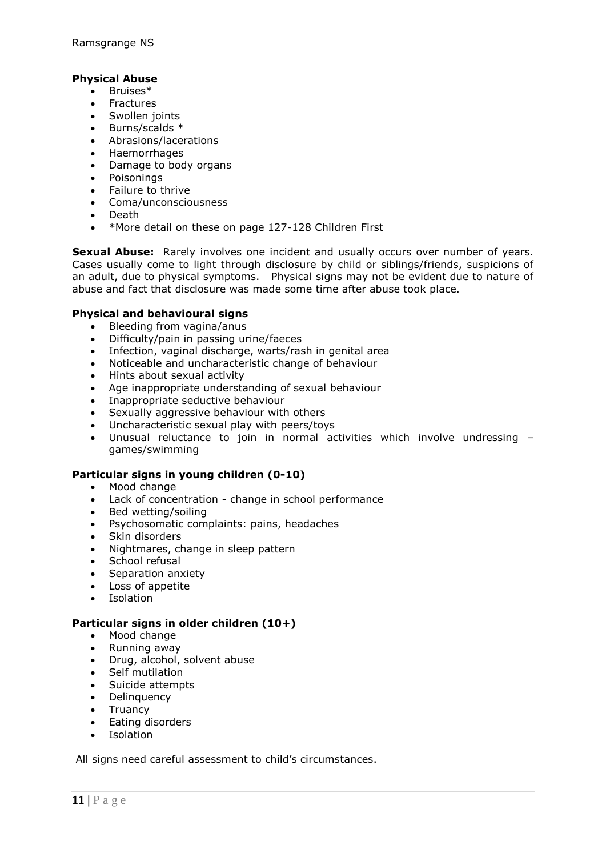## **Physical Abuse**

- Bruises\*
- Fractures
- Swollen joints
- $\bullet$  Burns/scalds  $*$
- Abrasions/lacerations
- Haemorrhages
- Damage to body organs
- Poisonings
- Failure to thrive
- Coma/unconsciousness
- Death
- \*More detail on these on page 127-128 Children First

**Sexual Abuse:** Rarely involves one incident and usually occurs over number of vears. Cases usually come to light through disclosure by child or siblings/friends, suspicions of an adult, due to physical symptoms. Physical signs may not be evident due to nature of abuse and fact that disclosure was made some time after abuse took place.

### **Physical and behavioural signs**

- Bleeding from vagina/anus
- Difficulty/pain in passing urine/faeces
- Infection, vaginal discharge, warts/rash in genital area
- Noticeable and uncharacteristic change of behaviour
- Hints about sexual activity
- Age inappropriate understanding of sexual behaviour
- Inappropriate seductive behaviour
- Sexually aggressive behaviour with others
- Uncharacteristic sexual play with peers/toys
- Unusual reluctance to join in normal activities which involve undressing games/swimming

## **Particular signs in young children (0-10)**

- Mood change
- Lack of concentration change in school performance
- Bed wetting/soiling
- Psychosomatic complaints: pains, headaches
- Skin disorders
- Nightmares, change in sleep pattern
- School refusal
- Separation anxiety
- Loss of appetite
- Isolation

#### **Particular signs in older children (10+)**

- Mood change
- Running away
- Drug, alcohol, solvent abuse
- Self mutilation
- Suicide attempts
- Delinquency
- Truancy
- Eating disorders
- Isolation

All signs need careful assessment to child's circumstances.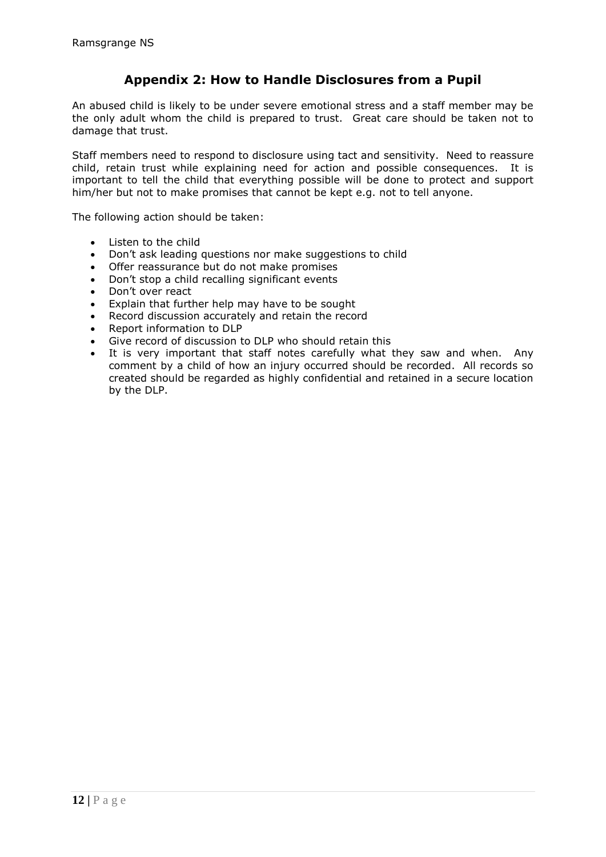## **Appendix 2: How to Handle Disclosures from a Pupil**

An abused child is likely to be under severe emotional stress and a staff member may be the only adult whom the child is prepared to trust. Great care should be taken not to damage that trust.

Staff members need to respond to disclosure using tact and sensitivity. Need to reassure child, retain trust while explaining need for action and possible consequences. It is important to tell the child that everything possible will be done to protect and support him/her but not to make promises that cannot be kept e.g. not to tell anyone.

The following action should be taken:

- Listen to the child
- Don't ask leading questions nor make suggestions to child
- Offer reassurance but do not make promises
- Don't stop a child recalling significant events
- Don't over react
- Explain that further help may have to be sought
- Record discussion accurately and retain the record
- Report information to DLP
- Give record of discussion to DLP who should retain this
- It is very important that staff notes carefully what they saw and when. Any comment by a child of how an injury occurred should be recorded. All records so created should be regarded as highly confidential and retained in a secure location by the DLP.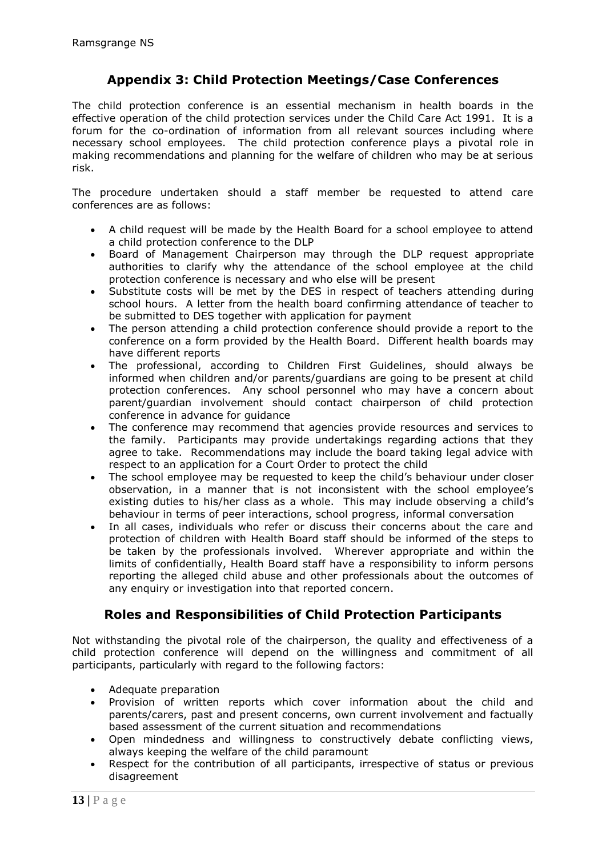## **Appendix 3: Child Protection Meetings/Case Conferences**

The child protection conference is an essential mechanism in health boards in the effective operation of the child protection services under the Child Care Act 1991. It is a forum for the co-ordination of information from all relevant sources including where necessary school employees. The child protection conference plays a pivotal role in making recommendations and planning for the welfare of children who may be at serious risk.

The procedure undertaken should a staff member be requested to attend care conferences are as follows:

- A child request will be made by the Health Board for a school employee to attend a child protection conference to the DLP
- Board of Management Chairperson may through the DLP request appropriate authorities to clarify why the attendance of the school employee at the child protection conference is necessary and who else will be present
- Substitute costs will be met by the DES in respect of teachers attending during school hours. A letter from the health board confirming attendance of teacher to be submitted to DES together with application for payment
- The person attending a child protection conference should provide a report to the conference on a form provided by the Health Board. Different health boards may have different reports
- The professional, according to Children First Guidelines, should always be informed when children and/or parents/guardians are going to be present at child protection conferences. Any school personnel who may have a concern about parent/guardian involvement should contact chairperson of child protection conference in advance for guidance
- The conference may recommend that agencies provide resources and services to the family. Participants may provide undertakings regarding actions that they agree to take. Recommendations may include the board taking legal advice with respect to an application for a Court Order to protect the child
- The school employee may be requested to keep the child's behaviour under closer observation, in a manner that is not inconsistent with the school employee's existing duties to his/her class as a whole. This may include observing a child's behaviour in terms of peer interactions, school progress, informal conversation
- In all cases, individuals who refer or discuss their concerns about the care and protection of children with Health Board staff should be informed of the steps to be taken by the professionals involved. Wherever appropriate and within the limits of confidentially, Health Board staff have a responsibility to inform persons reporting the alleged child abuse and other professionals about the outcomes of any enquiry or investigation into that reported concern.

## **Roles and Responsibilities of Child Protection Participants**

Not withstanding the pivotal role of the chairperson, the quality and effectiveness of a child protection conference will depend on the willingness and commitment of all participants, particularly with regard to the following factors:

- Adequate preparation
- Provision of written reports which cover information about the child and parents/carers, past and present concerns, own current involvement and factually based assessment of the current situation and recommendations
- Open mindedness and willingness to constructively debate conflicting views, always keeping the welfare of the child paramount
- Respect for the contribution of all participants, irrespective of status or previous disagreement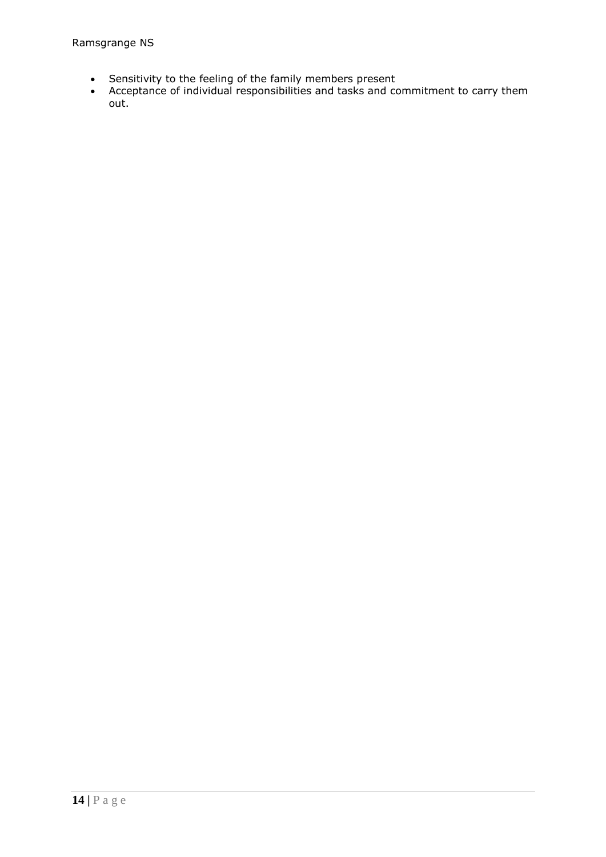- Sensitivity to the feeling of the family members present
- Acceptance of individual responsibilities and tasks and commitment to carry them out.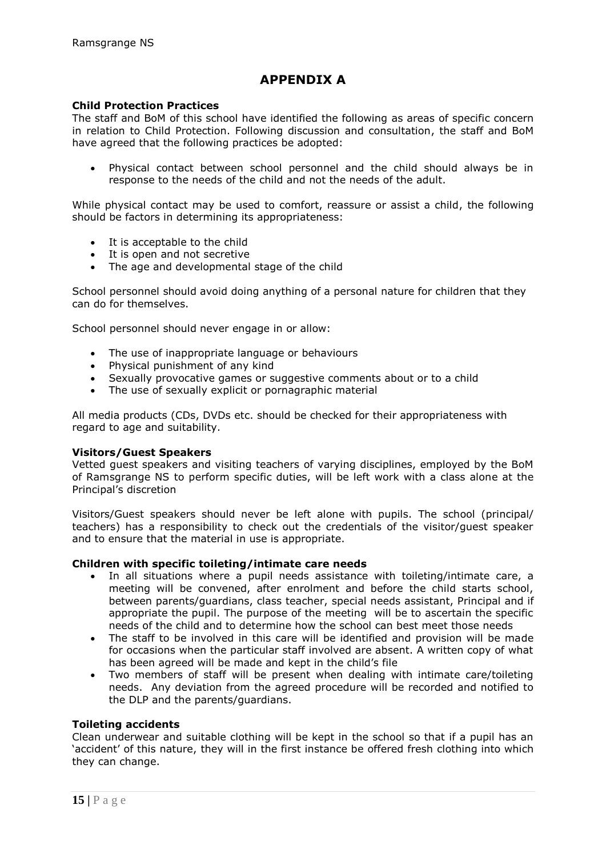## **APPENDIX A**

#### **Child Protection Practices**

The staff and BoM of this school have identified the following as areas of specific concern in relation to Child Protection. Following discussion and consultation, the staff and BoM have agreed that the following practices be adopted:

 Physical contact between school personnel and the child should always be in response to the needs of the child and not the needs of the adult.

While physical contact may be used to comfort, reassure or assist a child, the following should be factors in determining its appropriateness:

- It is acceptable to the child
- It is open and not secretive
- The age and developmental stage of the child

School personnel should avoid doing anything of a personal nature for children that they can do for themselves.

School personnel should never engage in or allow:

- The use of inappropriate language or behaviours
- Physical punishment of any kind
- Sexually provocative games or suggestive comments about or to a child
- The use of sexually explicit or pornagraphic material

All media products (CDs, DVDs etc. should be checked for their appropriateness with regard to age and suitability.

#### **Visitors/Guest Speakers**

Vetted guest speakers and visiting teachers of varying disciplines, employed by the BoM of Ramsgrange NS to perform specific duties, will be left work with a class alone at the Principal's discretion

Visitors/Guest speakers should never be left alone with pupils. The school (principal/ teachers) has a responsibility to check out the credentials of the visitor/guest speaker and to ensure that the material in use is appropriate.

#### **Children with specific toileting/intimate care needs**

- In all situations where a pupil needs assistance with toileting/intimate care, a meeting will be convened, after enrolment and before the child starts school, between parents/guardians, class teacher, special needs assistant, Principal and if appropriate the pupil. The purpose of the meeting will be to ascertain the specific needs of the child and to determine how the school can best meet those needs
- The staff to be involved in this care will be identified and provision will be made for occasions when the particular staff involved are absent. A written copy of what has been agreed will be made and kept in the child's file
- Two members of staff will be present when dealing with intimate care/toileting needs. Any deviation from the agreed procedure will be recorded and notified to the DLP and the parents/guardians.

#### **Toileting accidents**

Clean underwear and suitable clothing will be kept in the school so that if a pupil has an 'accident' of this nature, they will in the first instance be offered fresh clothing into which they can change.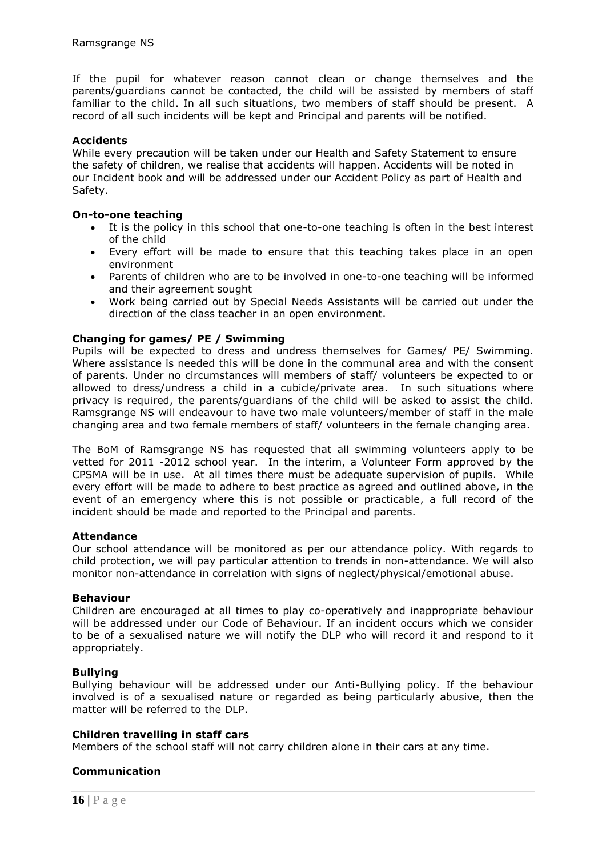If the pupil for whatever reason cannot clean or change themselves and the parents/guardians cannot be contacted, the child will be assisted by members of staff familiar to the child. In all such situations, two members of staff should be present. A record of all such incidents will be kept and Principal and parents will be notified.

### **Accidents**

While every precaution will be taken under our Health and Safety Statement to ensure the safety of children, we realise that accidents will happen. Accidents will be noted in our Incident book and will be addressed under our Accident Policy as part of Health and Safety.

#### **On-to-one teaching**

- It is the policy in this school that one-to-one teaching is often in the best interest of the child
- Every effort will be made to ensure that this teaching takes place in an open environment
- Parents of children who are to be involved in one-to-one teaching will be informed and their agreement sought
- Work being carried out by Special Needs Assistants will be carried out under the direction of the class teacher in an open environment.

## **Changing for games/ PE / Swimming**

Pupils will be expected to dress and undress themselves for Games/ PE/ Swimming. Where assistance is needed this will be done in the communal area and with the consent of parents. Under no circumstances will members of staff/ volunteers be expected to or allowed to dress/undress a child in a cubicle/private area. In such situations where privacy is required, the parents/guardians of the child will be asked to assist the child. Ramsgrange NS will endeavour to have two male volunteers/member of staff in the male changing area and two female members of staff/ volunteers in the female changing area.

The BoM of Ramsgrange NS has requested that all swimming volunteers apply to be vetted for 2011 -2012 school year. In the interim, a Volunteer Form approved by the CPSMA will be in use. At all times there must be adequate supervision of pupils. While every effort will be made to adhere to best practice as agreed and outlined above, in the event of an emergency where this is not possible or practicable, a full record of the incident should be made and reported to the Principal and parents.

#### **Attendance**

Our school attendance will be monitored as per our attendance policy. With regards to child protection, we will pay particular attention to trends in non-attendance. We will also monitor non-attendance in correlation with signs of neglect/physical/emotional abuse.

#### **Behaviour**

Children are encouraged at all times to play co-operatively and inappropriate behaviour will be addressed under our Code of Behaviour. If an incident occurs which we consider to be of a sexualised nature we will notify the DLP who will record it and respond to it appropriately.

#### **Bullying**

Bullying behaviour will be addressed under our Anti-Bullying policy. If the behaviour involved is of a sexualised nature or regarded as being particularly abusive, then the matter will be referred to the DLP.

#### **Children travelling in staff cars**

Members of the school staff will not carry children alone in their cars at any time.

#### **Communication**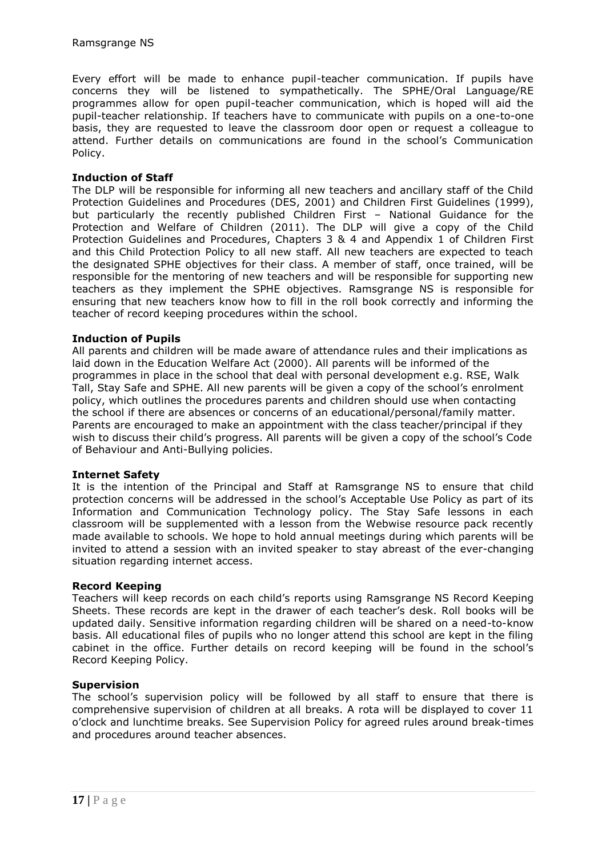Every effort will be made to enhance pupil-teacher communication. If pupils have concerns they will be listened to sympathetically. The SPHE/Oral Language/RE programmes allow for open pupil-teacher communication, which is hoped will aid the pupil-teacher relationship. If teachers have to communicate with pupils on a one-to-one basis, they are requested to leave the classroom door open or request a colleague to attend. Further details on communications are found in the school's Communication Policy.

### **Induction of Staff**

The DLP will be responsible for informing all new teachers and ancillary staff of the Child Protection Guidelines and Procedures (DES, 2001) and Children First Guidelines (1999), but particularly the recently published Children First – National Guidance for the Protection and Welfare of Children (2011). The DLP will give a copy of the Child Protection Guidelines and Procedures, Chapters 3 & 4 and Appendix 1 of Children First and this Child Protection Policy to all new staff. All new teachers are expected to teach the designated SPHE objectives for their class. A member of staff, once trained, will be responsible for the mentoring of new teachers and will be responsible for supporting new teachers as they implement the SPHE objectives. Ramsgrange NS is responsible for ensuring that new teachers know how to fill in the roll book correctly and informing the teacher of record keeping procedures within the school.

### **Induction of Pupils**

All parents and children will be made aware of attendance rules and their implications as laid down in the Education Welfare Act (2000). All parents will be informed of the programmes in place in the school that deal with personal development e.g. RSE, Walk Tall, Stay Safe and SPHE. All new parents will be given a copy of the school's enrolment policy, which outlines the procedures parents and children should use when contacting the school if there are absences or concerns of an educational/personal/family matter. Parents are encouraged to make an appointment with the class teacher/principal if they wish to discuss their child's progress. All parents will be given a copy of the school's Code of Behaviour and Anti-Bullying policies.

#### **Internet Safety**

It is the intention of the Principal and Staff at Ramsgrange NS to ensure that child protection concerns will be addressed in the school's Acceptable Use Policy as part of its Information and Communication Technology policy. The Stay Safe lessons in each classroom will be supplemented with a lesson from the Webwise resource pack recently made available to schools. We hope to hold annual meetings during which parents will be invited to attend a session with an invited speaker to stay abreast of the ever-changing situation regarding internet access.

#### **Record Keeping**

Teachers will keep records on each child's reports using Ramsgrange NS Record Keeping Sheets. These records are kept in the drawer of each teacher's desk. Roll books will be updated daily. Sensitive information regarding children will be shared on a need-to-know basis. All educational files of pupils who no longer attend this school are kept in the filing cabinet in the office. Further details on record keeping will be found in the school's Record Keeping Policy.

#### **Supervision**

The school's supervision policy will be followed by all staff to ensure that there is comprehensive supervision of children at all breaks. A rota will be displayed to cover 11 o'clock and lunchtime breaks. See Supervision Policy for agreed rules around break-times and procedures around teacher absences.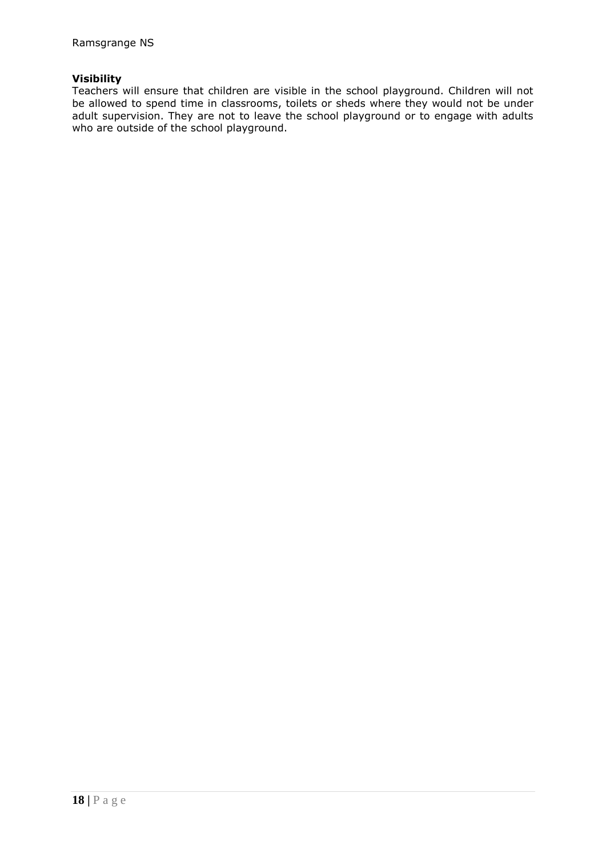## **Visibility**

Teachers will ensure that children are visible in the school playground. Children will not be allowed to spend time in classrooms, toilets or sheds where they would not be under adult supervision. They are not to leave the school playground or to engage with adults who are outside of the school playground.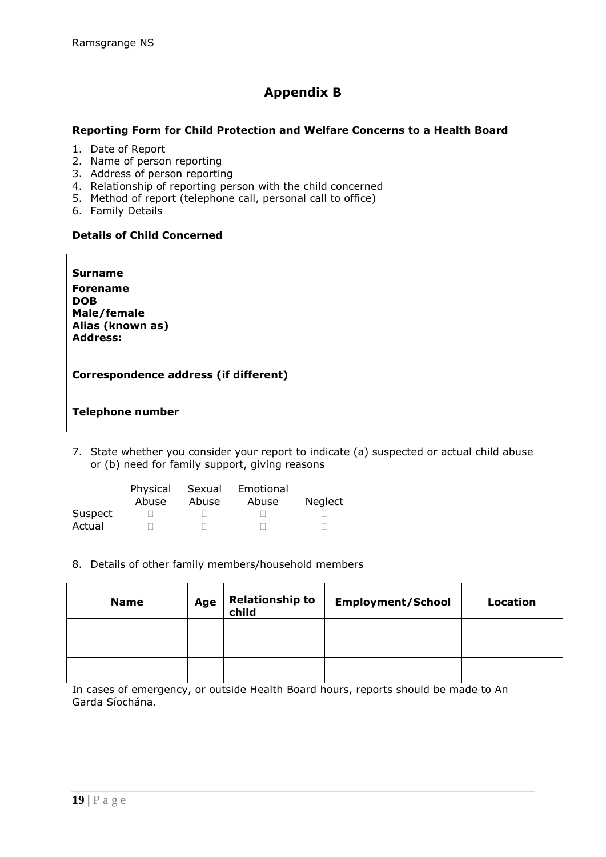## **Appendix B**

### **Reporting Form for Child Protection and Welfare Concerns to a Health Board**

- 1. Date of Report
- 2. Name of person reporting
- 3. Address of person reporting
- 4. Relationship of reporting person with the child concerned
- 5. Method of report (telephone call, personal call to office)
- 6. Family Details

l

## **Details of Child Concerned**

**Surname Forename DOB Male/female Alias (known as) Address:**

**Correspondence address (if different)**

### **Telephone number**

7. State whether you consider your report to indicate (a) suspected or actual child abuse or (b) need for family support, giving reasons

|         | Physical<br>Abuse | Sexual<br>Abuse | Emotional<br>Abuse | <b>Neglect</b> |
|---------|-------------------|-----------------|--------------------|----------------|
| Suspect |                   |                 |                    |                |
| Actual  |                   |                 |                    |                |

8. Details of other family members/household members

| <b>Name</b> | Age | Relationship to<br>child | <b>Employment/School</b> | Location |
|-------------|-----|--------------------------|--------------------------|----------|
|             |     |                          |                          |          |
|             |     |                          |                          |          |
|             |     |                          |                          |          |
|             |     |                          |                          |          |
|             |     |                          |                          |          |

In cases of emergency, or outside Health Board hours, reports should be made to An Garda Síochána.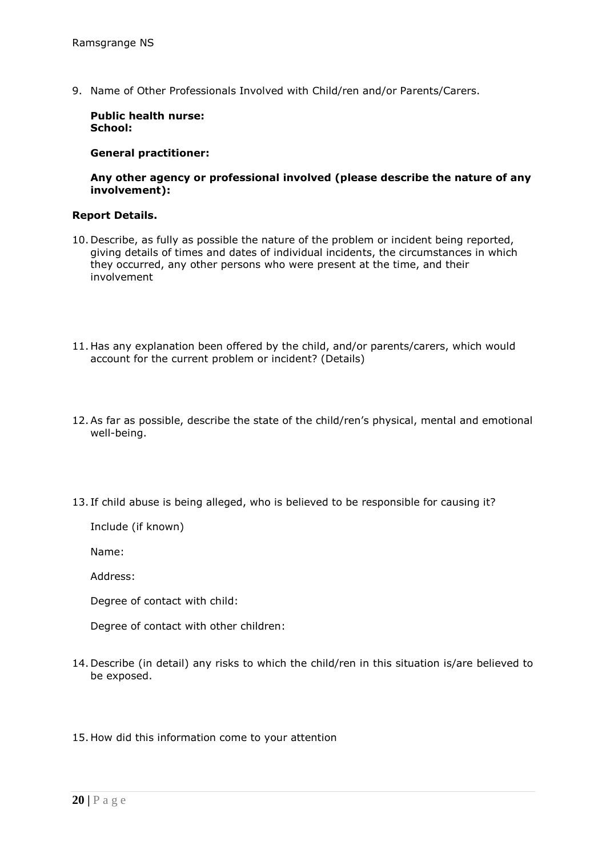9. Name of Other Professionals Involved with Child/ren and/or Parents/Carers.

**Public health nurse: School:**

**General practitioner:**

**Any other agency or professional involved (please describe the nature of any involvement):**

#### **Report Details.**

- 10. Describe, as fully as possible the nature of the problem or incident being reported, giving details of times and dates of individual incidents, the circumstances in which they occurred, any other persons who were present at the time, and their involvement
- 11. Has any explanation been offered by the child, and/or parents/carers, which would account for the current problem or incident? (Details)
- 12.As far as possible, describe the state of the child/ren's physical, mental and emotional well-being.
- 13. If child abuse is being alleged, who is believed to be responsible for causing it?

Include (if known)

Name:

Address:

Degree of contact with child:

Degree of contact with other children:

- 14. Describe (in detail) any risks to which the child/ren in this situation is/are believed to be exposed.
- 15. How did this information come to your attention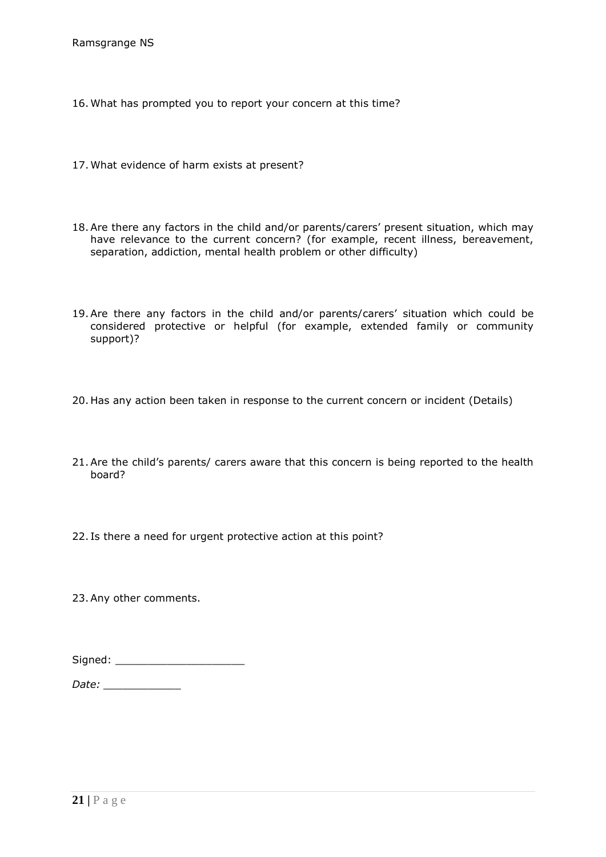Ramsgrange NS

- 16. What has prompted you to report your concern at this time?
- 17. What evidence of harm exists at present?
- 18.Are there any factors in the child and/or parents/carers' present situation, which may have relevance to the current concern? (for example, recent illness, bereavement, separation, addiction, mental health problem or other difficulty)
- 19.Are there any factors in the child and/or parents/carers' situation which could be considered protective or helpful (for example, extended family or community support)?
- 20. Has any action been taken in response to the current concern or incident (Details)
- 21.Are the child's parents/ carers aware that this concern is being reported to the health board?
- 22. Is there a need for urgent protective action at this point?

23.Any other comments.

| Signed: |
|---------|
|         |

*Date: \_\_\_\_\_\_\_\_\_\_\_\_*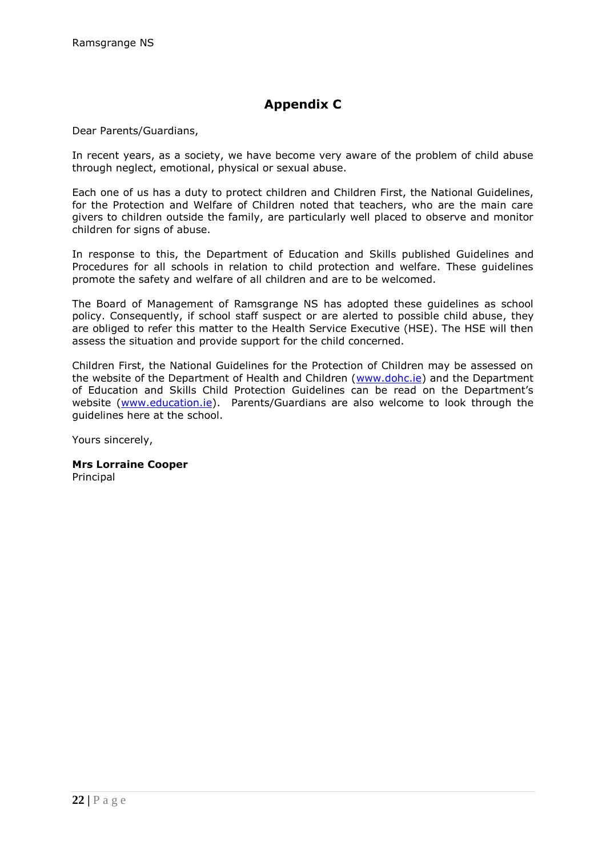# **Appendix C**

Dear Parents/Guardians,

In recent years, as a society, we have become very aware of the problem of child abuse through neglect, emotional, physical or sexual abuse.

Each one of us has a duty to protect children and Children First, the National Guidelines, for the Protection and Welfare of Children noted that teachers, who are the main care givers to children outside the family, are particularly well placed to observe and monitor children for signs of abuse.

In response to this, the Department of Education and Skills published Guidelines and Procedures for all schools in relation to child protection and welfare. These guidelines promote the safety and welfare of all children and are to be welcomed.

The Board of Management of Ramsgrange NS has adopted these guidelines as school policy. Consequently, if school staff suspect or are alerted to possible child abuse, they are obliged to refer this matter to the Health Service Executive (HSE). The HSE will then assess the situation and provide support for the child concerned.

Children First, the National Guidelines for the Protection of Children may be assessed on the website of the Department of Health and Children [\(www.dohc.ie\)](http://www.dohc.ie/) and the Department of Education and Skills Child Protection Guidelines can be read on the Department's website [\(www.education.ie\)](http://www.education.ie/). Parents/Guardians are also welcome to look through the guidelines here at the school.

Yours sincerely,

**Mrs Lorraine Cooper** Principal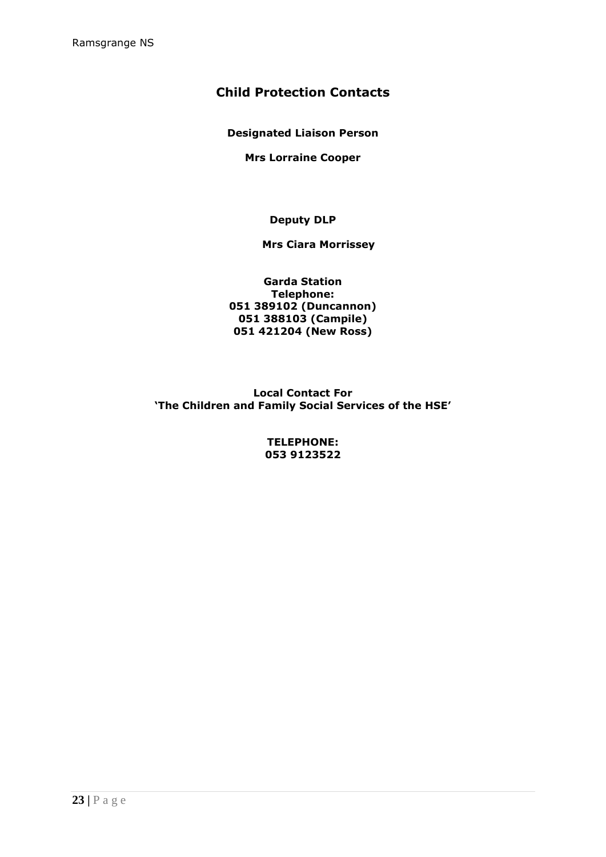## **Child Protection Contacts**

**Designated Liaison Person**

**Mrs Lorraine Cooper**

**Deputy DLP**

### **Mrs Ciara Morrissey**

**Garda Station Telephone: 051 389102 (Duncannon) 051 388103 (Campile) 051 421204 (New Ross)**

**Local Contact For 'The Children and Family Social Services of the HSE'**

> **TELEPHONE: 053 9123522**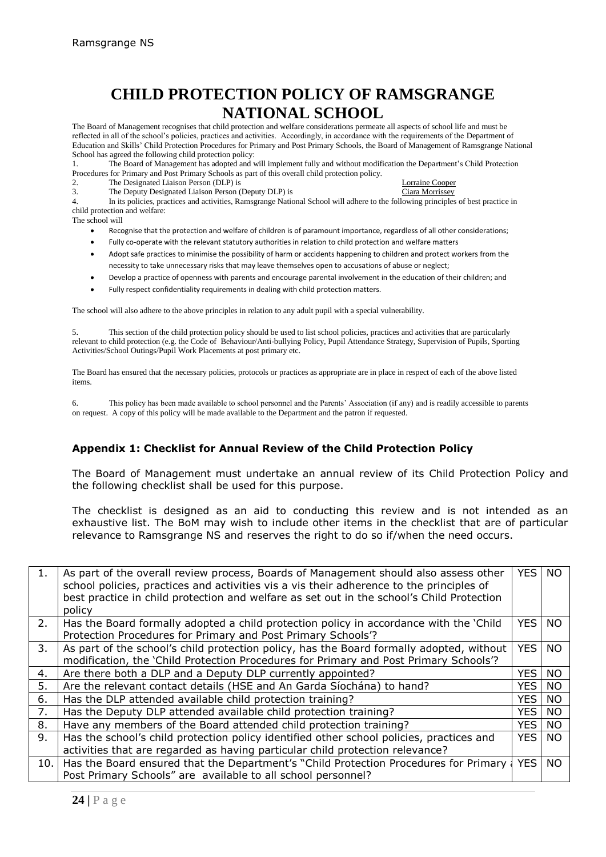# **CHILD PROTECTION POLICY OF RAMSGRANGE NATIONAL SCHOOL**

The Board of Management recognises that child protection and welfare considerations permeate all aspects of school life and must be reflected in all of the school's policies, practices and activities. Accordingly, in accordance with the requirements of the Department of Education and Skills' Child Protection Procedures for Primary and Post Primary Schools, the Board of Management of Ramsgrange National School has agreed the following child protection policy:<br>1 The Board of Management has adopted and

1. The Board of Management has adopted and will implement fully and without modification the Department's Child Protection Procedures for Primary and Post Primary Schools as part of this overall child protection policy.<br>
2. The Designated Liaison Person (DLP) is

2. The Designated Liaison Person (DLP) is Lorraine Cooper 3. Lorraine Cooper 3. Lorraine Cooper 3. The Deputy Designated Liaison Person (Deputy DLP) is

4. In its policies, practices and activities, Ramsgrange National School will adhere to the following principles of best practice in child protection and welfare:

The school will

- Recognise that the protection and welfare of children is of paramount importance, regardless of all other considerations;
- Fully co-operate with the relevant statutory authorities in relation to child protection and welfare matters
- Adopt safe practices to minimise the possibility of harm or accidents happening to children and protect workers from the necessity to take unnecessary risks that may leave themselves open to accusations of abuse or neglect;
- Develop a practice of openness with parents and encourage parental involvement in the education of their children; and
- Fully respect confidentiality requirements in dealing with child protection matters.

The school will also adhere to the above principles in relation to any adult pupil with a special vulnerability.

5. This section of the child protection policy should be used to list school policies, practices and activities that are particularly relevant to child protection (e.g. the Code of Behaviour/Anti-bullying Policy, Pupil Attendance Strategy, Supervision of Pupils, Sporting Activities/School Outings/Pupil Work Placements at post primary etc.

The Board has ensured that the necessary policies, protocols or practices as appropriate are in place in respect of each of the above listed items.

6. This policy has been made available to school personnel and the Parents' Association (if any) and is readily accessible to parents on request. A copy of this policy will be made available to the Department and the patron if requested.

#### **Appendix 1: Checklist for Annual Review of the Child Protection Policy**

The Board of Management must undertake an annual review of its Child Protection Policy and the following checklist shall be used for this purpose.

The checklist is designed as an aid to conducting this review and is not intended as an exhaustive list. The BoM may wish to include other items in the checklist that are of particular relevance to Ramsgrange NS and reserves the right to do so if/when the need occurs.

| 1.  | As part of the overall review process, Boards of Management should also assess other<br>school policies, practices and activities vis a vis their adherence to the principles of<br>best practice in child protection and welfare as set out in the school's Child Protection<br>policy | <b>YES</b> | <b>NO</b> |
|-----|-----------------------------------------------------------------------------------------------------------------------------------------------------------------------------------------------------------------------------------------------------------------------------------------|------------|-----------|
| 2.  | Has the Board formally adopted a child protection policy in accordance with the 'Child<br>Protection Procedures for Primary and Post Primary Schools'?                                                                                                                                  | <b>YES</b> | <b>NO</b> |
| 3.  | As part of the school's child protection policy, has the Board formally adopted, without<br>modification, the 'Child Protection Procedures for Primary and Post Primary Schools'?                                                                                                       | <b>YES</b> | <b>NO</b> |
| 4.  | Are there both a DLP and a Deputy DLP currently appointed?                                                                                                                                                                                                                              | YES I      | <b>NO</b> |
| 5.  | Are the relevant contact details (HSE and An Garda Síochána) to hand?                                                                                                                                                                                                                   | <b>YES</b> | <b>NO</b> |
| 6.  | Has the DLP attended available child protection training?                                                                                                                                                                                                                               | <b>YES</b> | <b>NO</b> |
| 7.  | Has the Deputy DLP attended available child protection training?                                                                                                                                                                                                                        | YES I      | <b>NO</b> |
| 8.  | Have any members of the Board attended child protection training?                                                                                                                                                                                                                       | <b>YES</b> | <b>NO</b> |
| 9.  | Has the school's child protection policy identified other school policies, practices and                                                                                                                                                                                                | YES I      | <b>NO</b> |
|     | activities that are regarded as having particular child protection relevance?                                                                                                                                                                                                           |            |           |
| 10. | Has the Board ensured that the Department's "Child Protection Procedures for Primary<br>Post Primary Schools" are available to all school personnel?                                                                                                                                    | <b>YES</b> | <b>NO</b> |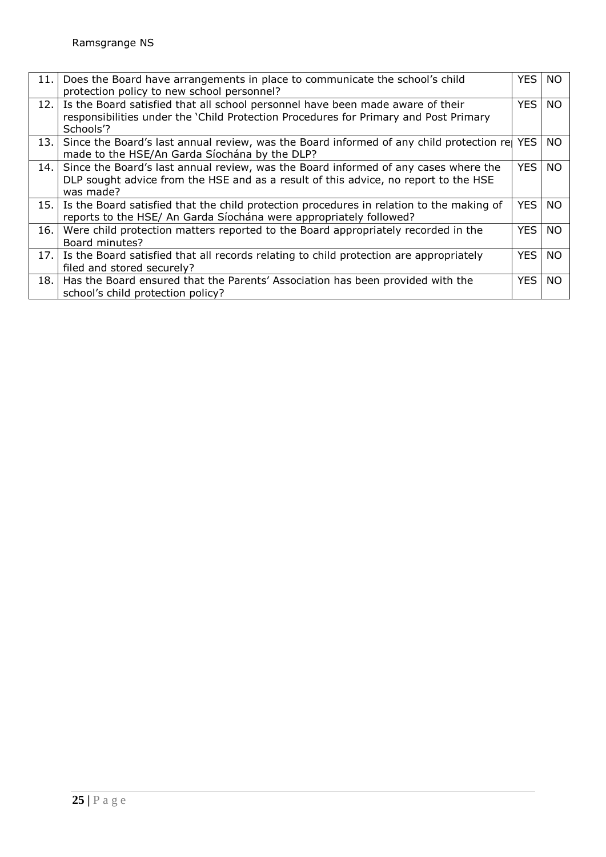| 11.  | Does the Board have arrangements in place to communicate the school's child<br>protection policy to new school personnel?                                                               | YES.             | <b>NO</b> |
|------|-----------------------------------------------------------------------------------------------------------------------------------------------------------------------------------------|------------------|-----------|
| 12.  | Is the Board satisfied that all school personnel have been made aware of their<br>responsibilities under the 'Child Protection Procedures for Primary and Post Primary<br>Schools'?     | <b>YES</b>       | <b>NO</b> |
| 13.1 | Since the Board's last annual review, was the Board informed of any child protection re<br>made to the HSE/An Garda Síochána by the DLP?                                                |                  | NO.       |
| 14.  | Since the Board's last annual review, was the Board informed of any cases where the<br>DLP sought advice from the HSE and as a result of this advice, no report to the HSE<br>was made? | YES I            | NO.       |
| 15.1 | Is the Board satisfied that the child protection procedures in relation to the making of<br>reports to the HSE/ An Garda Síochána were appropriately followed?                          | <b>YES</b>       | <b>NO</b> |
| 16.  | Were child protection matters reported to the Board appropriately recorded in the<br>Board minutes?                                                                                     | <b>YES</b>       | <b>NO</b> |
| 17.1 | Is the Board satisfied that all records relating to child protection are appropriately<br>filed and stored securely?                                                                    | YES <sup>I</sup> | <b>NO</b> |
| 18.  | Has the Board ensured that the Parents' Association has been provided with the<br>school's child protection policy?                                                                     | <b>YES</b>       | <b>NO</b> |